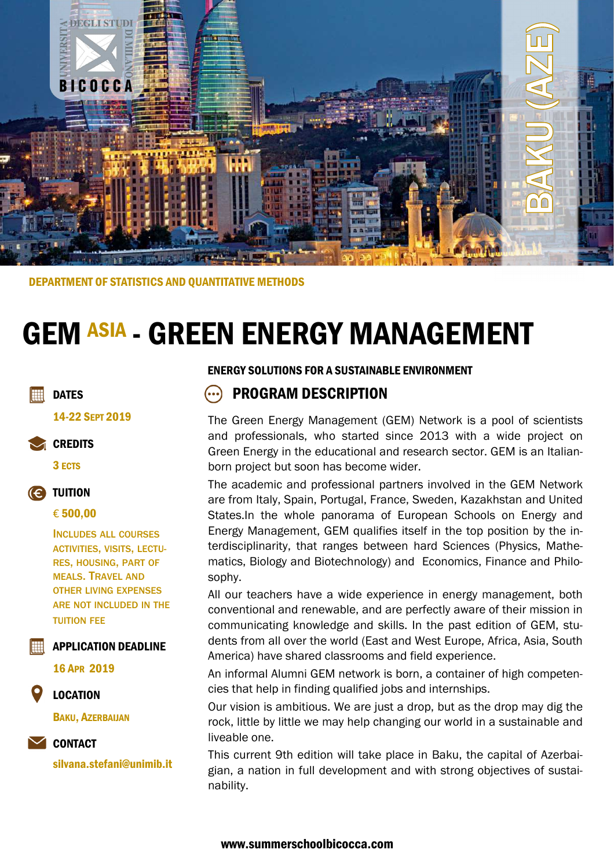

DEPARTMENT OF STATISTICS AND QUANTITATIVE METHODS

# GEM ASIA - GREEN ENERGY MANAGEMENT

### **DATES**

14-22 SEPT 2019

### **CREDITS**

3 ECTS



### € 500,00

INCLUDES ALL COURSES ACTIVITIES, VISITS, LECTU-RES, HOUSING, PART OF MEALS. TRAVEL AND OTHER LIVING EXPENSES ARE NOT INCLUDED IN THE TUITION FEE

APPLICATION DEADLINE

16 APR 2019

### LOCATION

BAKU, AZERBAIJAN

### CONTACT

silvana.stefani@unimib.it

### ENERGY SOLUTIONS FOR A SUSTAINABLE ENVIRONMENT

# PROGRAM DESCRIPTION

The Green Energy Management (GEM) Network is a pool of scientists and professionals, who started since 2013 with a wide project on Green Energy in the educational and research sector. GEM is an Italianborn project but soon has become wider.

The academic and professional partners involved in the GEM Network are from Italy, Spain, Portugal, France, Sweden, Kazakhstan and United States.In the whole panorama of European Schools on Energy and Energy Management, GEM qualifies itself in the top position by the interdisciplinarity, that ranges between hard Sciences (Physics, Mathematics, Biology and Biotechnology) and Economics, Finance and Philosophy.

All our teachers have a wide experience in energy management, both conventional and renewable, and are perfectly aware of their mission in communicating knowledge and skills. In the past edition of GEM, students from all over the world (East and West Europe, Africa, Asia, South America) have shared classrooms and field experience.

An informal Alumni GEM network is born, a container of high competencies that help in finding qualified jobs and internships.

Our vision is ambitious. We are just a drop, but as the drop may dig the rock, little by little we may help changing our world in a sustainable and liveable one.

This current 9th edition will take place in Baku, the capital of Azerbaigian, a nation in full development and with strong objectives of sustainability.